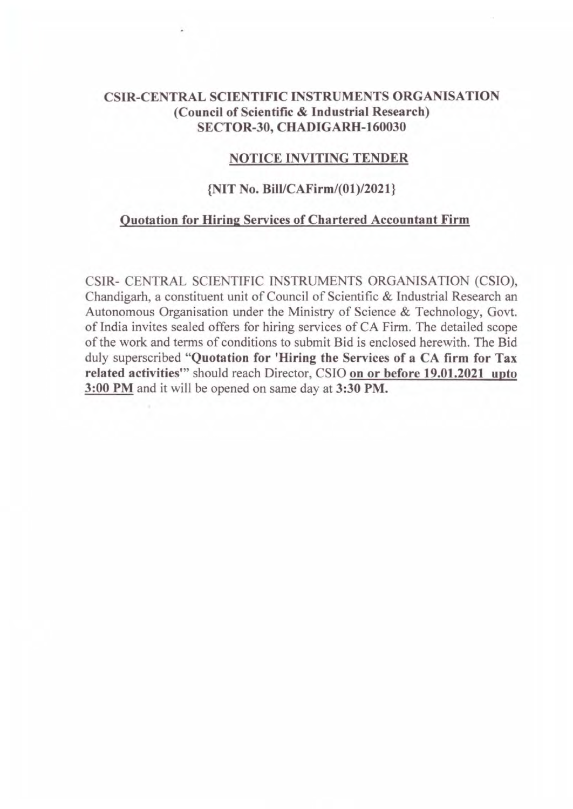## CSIR-CENTRAL SCIENTIFIC INSTRUMENTS ORGANISATION (Council of Scientific & Industrial Research) SECTOR-30, CHADIGARH-160030

#### NOTICE INVITING TENDER

### {NIT No. Bill/CAFirm/(01)/2021}

#### Quotation for Hiring Services of Chartered Accountant Firm

CSIR- CENTRAL SCIENTIFIC INSTRUMENTS ORGANISATION (CSIO), Chandigarh, a constituent unit of Council of Scientific & Industrial Research an Autonomous Organisation under the Ministry of Science & Technology, Govt. of India invites sealed offers for hiring services of CA Firm. The detailed scope of the work and terms of conditions to submit Bid is enclosed herewith. The Bid duly superscribed "Quotation for 'Hiring the Services of a CA firm for Tax related activities" should reach Director, CSIO on or before 19.01.2021 upto 3:00PM and it will be opened on same day at 3:30PM.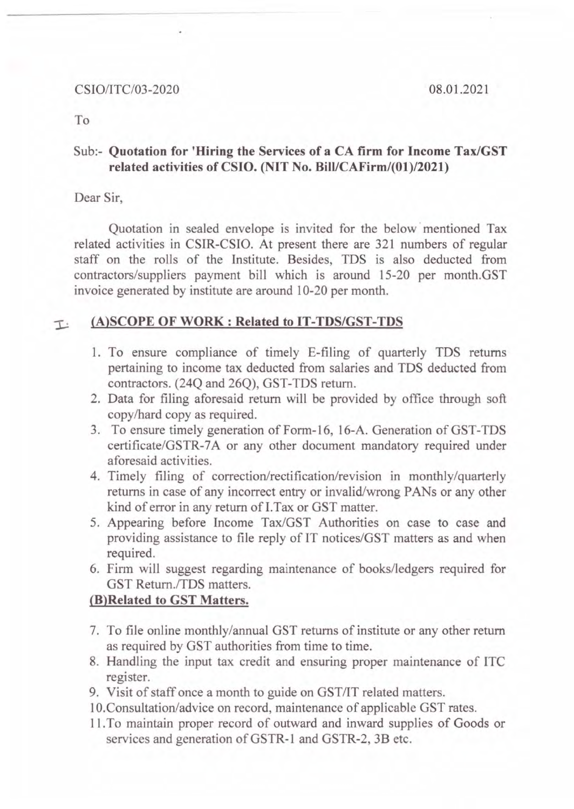#### CSIO/ITC/03-2020 08.01.2021

To

## Sub:- **Quotation for 'Hiring the Services of a CA firm for Income Tax/GST related activities of CSIO. (NIT No. Bill/CAFirm/(01)/2021)**

Dear Sir,

Quotation in sealed envelope is invited for the below mentioned Tax related activities in CSIR-CSIO. At present there are 321 numbers of regular staff on the rolls of the Institute. Besides, TDS is also deducted from contractors/suppliers payment bill which is around 15-20 per month.GST invoice generated by institute are around 10-20 per month.

## **:I..: (A)SCOPE OF WORK: Related to IT-TDS/GST-TDS**

- 1. To ensure compliance of timely E-filing of quarterly TDS returns pertaining to income tax deducted from salaries and TDS deducted from contractors. (24Q and 26Q), GST-TDS return.
- 2. Data for filing aforesaid return will be provided by office through soft copy/hard copy as required.
- 3. To ensure timely generation of Form-16, 16-A. Generation of GST-TDS certificate/GSTR-7A or any other document mandatory required under aforesaid activities.
- 4. Timely filing of correction/rectification/revision in monthly/quarterly returns in case of any incorrect entry or invalid/wrong PANs or any other kind of error in any return of I.Tax or GST matter.
- 5. Appearing before Income Tax/GST Authorities on case to case and providing assistance to file reply of IT notices/GST matters as and when required.
- 6. Firm will suggest regarding maintenance of books/ledgers required for GST Retum./TDS matters.

## **(B)Related to GST Matters.**

- 7. To file online monthly/annual GST returns of institute or any other return as required by GST authorities from time to time.
- 8. Handling the input tax credit and ensuring proper maintenance of lTC register.
- 9. Visit of staff once a month to guide on GST/IT related matters.
- 1 O.Consultation/advice on record, maintenance of applicable GST rates.
- 11 . To maintain proper record of outward and inward supplies of Goods or services and generation of GSTR-1 and GSTR-2, 3B etc.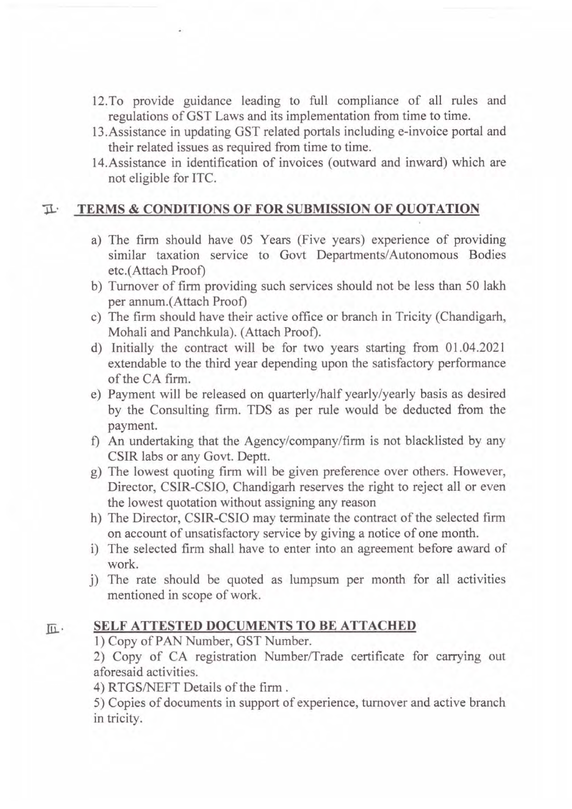- 12.To provide guidance leading to full compliance of all rules and regulations of GST Laws and its implementation from time to time.
- 13.Assistance in updating GST related portals including e-invoice portal and their related issues as required from time to time.
- 14.Assistance in identification of invoices (outward and inward) which are not eligible for lTC.

#### **11-· TERMS & CONDITIONS OF FOR SUBMISSION OF QUOTATION**

- a) The firm should have 05 Years (Five years) experience of providing similar taxation service to Govt Departments/Autonomous Bodies etc.(Attach Proof)
- b) Turnover of firm providing such services should not be less than 50 lakh per annum.(Attach Proof)
- c) The firm should have their active office or branch in Tricity (Chandigarh, Mohali and Panchkula). (Attach Proof).
- d) Initially the contract will be for two years starting from 01.04.2021 extendable to the third year depending upon the satisfactory performance of the CA firm.
- e) Payment will be released on quarterly/half yearly/yearly basis as desired by the Consulting firm. TDS as per rule would be deducted from the payment.
- f) An undertaking that the Agency/company/firm is not blacklisted by any CSIR labs or any Govt. Deptt.
- g) The lowest quoting firm will be given preference over others. However, Director, CSIR-CSIO, Chandigarh reserves the right to reject all or even the lowest quotation without assigning any reason
- h) The Director, CSIR-CSIO may terminate the contract of the selected firm on account of unsatisfactory service by giving a notice of one month.
- i) The selected firm shall have to enter into an agreement before award of work.
- j) The rate should be quoted as lumpsum per month for all activities mentioned in scope of work.

## **III. SELF ATTESTED DOCUMENTS TO BE ATTACHED**

1) Copy of PAN Number, GST Number.

2) Copy of CA registration Number/Trade certificate for carrying out aforesaid activities.

4) RTGS/NEFT Details of the firm.

5) Copies of documents in support of experience, turnover and active branch in tricity.